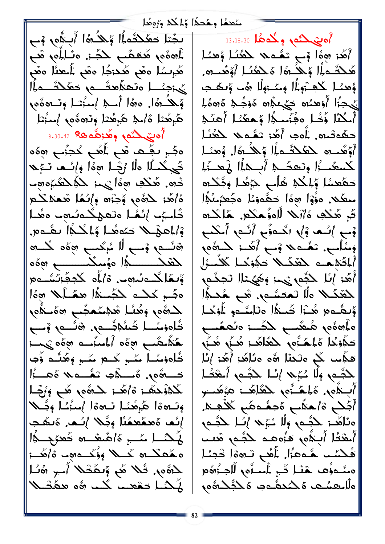مَعْمَا وِهَدِدًا وَالْحَدِ وَوَهُا

تَجْتَلَ حَعَكَتُمَا الْإِيْكَ وَالْمَجْتَامِ ۚ وَجِي نْآەەْم ھُفْقَى لِكُبْ, ەنَالْمام ھُم هُبِسُا هِمْعٍ هُدَدُّا هِمْعٍ لِمُعْلَا هِمْعٍ المصنعكم وكالمعتكم ومتشاكل وأحسبن وَجَمَلُوهُ]. وَهَا أَسَمَ إِسْتُصَا وَتَدْوَوْو هُبِهُنا هُ/ىجْ هُبِهُنَا وِلَـْ100\$ )مِعْتَا  $\sim$  1.30.42 مَنْ وَهُدَهُ  $\sim$  1.08.42  $\sim$ ەكّېرىقىم قىم ئاھُم مُجَنَّىم ھەر سُبْكُما هالُ رُجَّا هِهَا وَإِسْمِ تَجْمِعُ تُمْ مَكْلُمْ مِنْ أَمْمٍ مَكْلَمِ مِنْ مِنْ مِنْ هُاهُدِ كَيْݣُورٍ وُجِبْرَهِ وِإِنْكُمْ شَعْدَتْكُمْ تُلْسِيَّد إِنَّعْسَلْ ەتھۈنگەنُىھە دەھل وْالِمِهْلا حَمَّمُعًا وَٰلِكُمَّا بِعُــومِ ەئىم ۋىس لا ئېگىس ھۆە ئىسە لمقلَّــــــــــةُ أو مؤسسة معرَّف المُستَعلِم وقدِّهِ وَسَمَا كُـــوسُـوب وْالِمَّا كَجْجَاتْشَــوم هجُّم كَلَاء كَجُمْنَكُمْ هَمَلُكَ هِهُ! لِحَدُّهِ وَهُنُا هُدَمَّمَجُبِ 20 َخْتَلُومِ خُاهزمشُــا خَىنُجْشُـــه. شَنْـــه وْــــع نسرع َهُجَمَعَ صَانِعِهِمْ وَهُمْ مِنْصَفَهُمْ څاەۈمئىل مىلېر كىلى مىلېر وگېلىك ۋې حَـــوهُوبِ. ةَـــــدْكِ تَـعُـــوها وَصـــزَا كْلِبْوْحِكْ: هْ/هُـ: حْـرْهُ٥، هُــ وْرُجْـلْ وِنْـ20\$ هُبِمُنْـا نَـ20\$ إِمْزُنْـا وِجُــلا إِنَّمَا ةَهَكُمْتُمْتُلُ وَجَّلاً إِنَّـم، ةَنْقَـبَ لَكْمِــا مَــــ ةَاهَيڤــــه خَعرَجـــدًا ەھكىگىدە ئىسلا بۈگسەھە ۋائىب لِمَثَىٰ، ثَلا مَٰى وَُٖىعَضَلاً أَمِي هُنُـا يُحِبَّا حَمْعَتْ كُبَ هُ مَعَضَهَا

أەپجىشى وڭدەگ 13.18.30 أَهَٰذِ وَهُۥۢ قَبِي تَشُمِيهِ لِلْعُبُلِ وُهِنُـٰلٍ هَٰٓدُتُـٰٓء)۟ٳ بۭۡٓ ذَلِّـُ هُ | هَٰ حَمْنُـا ۚ أَبۡ مَّـــ هِ. وُهمُا كُلِّمَ زَوِيًّا وِمَ زوّاً هُ وَمَعْهِ لَّكِجِزًا أَوْهَدُه صَلَّكِهِمْ مَوْجُمٍ \$20\$ أَمْكُلُا وَّذُا هِفَّزَمِيجُا وَجَعَفْنَا أَهلُجْ حَكَّمَتْمِهِ. غُاهِجِ أَهَٰذِ يَعْمَى لِلْحُمُلِ ٱؤَهَّدِ ۖ لِلصَّلَاثُ وَلَمْ لَهُ إِلَّا وَعَدًا ۖ وَعَدًا ۖ لَكْسِعْبُ أَوتَعْصَبُ أَبْتَهَا أَرْجَدَ ذَبَا حَكَمحسُا وَلِمَحْظٍ هُلَبٍ حَزِهُا وِجُحْدِهِ معَكَدٍ. وَذُوَّا وَوَّا حَقَّوْمًا وَجُعِبَمِنُكُم تُهِ هُكُلُو هُ/ٱللا لْلُهُوَهِكُلُو. هَالْكُلُو وّْبِ إِنَّـمِ وْإِلَّا الْمُـدَوِّبِ أَلْـدِ أَمْـلَـبِ وَمِثْلَبٍ. تَمُّدُمُهُ وْبَ أَهْدَ لَحْدِقُومٍ أَبْائَكُلُّهُ هُدًا لَكُلُّ لَأُوْكُلُ كَلُّدُوْلِ رمِفْجَا الْمَرْهُمْ نِسْ رِمَثِْكَ الْأَرْ نِمْأَ لمَعْكُمُ وَلَا تَعْصَيُمِ, مْعَ هُدْبًا وَمَعْـوم هُــْ:ا خُـــٰدًا وَتَامَّـو ۚ أَوْجُـا وأردأه ومُعَسَى للصَّنَاءِ وَمُعَمَّس حَكَّوْكُمْ هَٰلِمُنُومٍ كَعُدّْهُمْ: هُنِّي هُنَّي ْعَجَّامَتْ كُمْ دَيْتَنَا ۞ُهُ دَيَّاهُمْ أَهُدْ }ِئَا لحَبُّـمِ وَلَا يُبْحِرِ إِسْا لِحَبُّـمِ أَحْقَمُا أَبْنَدُهِ, هَٰلِمَـٰٓءَهِ كَتَعَلَّمَـٰٓ: هَزُهَـٰنِـر أَكُلُمْ ةَاهْدُمْ هَجْسَاهُمْ لَلْأَهِلَا. وَتَأْهَدِ: حَجَّـٰهِ, وَلَا يُجْهَدُ إِنَّـا حَجَّـٰهِ, أَعْفَا أَبِنَاهِ فَأَوْهِمْ لَأَبُمْ شَبِّي ْقُكْسًى هُـُـومُزَا. لَمُعْمِ نَــْوَوْا خْجِئْـا |مِنْحَوُّهَا هَنْدَا ضَرِ لْمَعِنُّونَ لَاجِنُوْهُم |وَلَاسْعِسُـمَا وَ حُكْمَعْـوَمِ وَ حَجَّحْـرَةُومِ